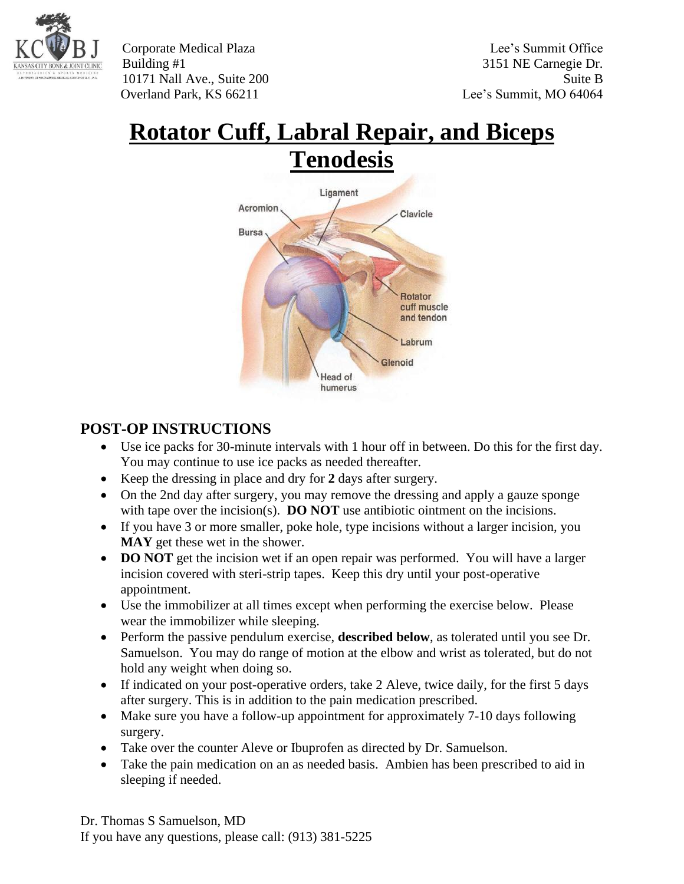

Corporate Medical Plaza Lee's Summit Office Building #1 3151 NE Carnegie Dr. 10171 Nall Ave., Suite 200 Suite B Overland Park, KS 66211 Lee's Summit, MO 64064

## **Rotator Cuff, Labral Repair, and Biceps**



## **POST-OP INSTRUCTIONS**

- Use ice packs for 30-minute intervals with 1 hour off in between. Do this for the first day. You may continue to use ice packs as needed thereafter.
- Keep the dressing in place and dry for **2** days after surgery.
- On the 2nd day after surgery, you may remove the dressing and apply a gauze sponge with tape over the incision(s). **DO NOT** use antibiotic ointment on the incisions.
- If you have 3 or more smaller, poke hole, type incisions without a larger incision, you **MAY** get these wet in the shower.
- **DO NOT** get the incision wet if an open repair was performed. You will have a larger incision covered with steri-strip tapes. Keep this dry until your post-operative appointment.
- Use the immobilizer at all times except when performing the exercise below. Please wear the immobilizer while sleeping.
- Perform the passive pendulum exercise, **described below**, as tolerated until you see Dr. Samuelson. You may do range of motion at the elbow and wrist as tolerated, but do not hold any weight when doing so.
- If indicated on your post-operative orders, take 2 Aleve, twice daily, for the first 5 days after surgery. This is in addition to the pain medication prescribed.
- Make sure you have a follow-up appointment for approximately 7-10 days following surgery.
- Take over the counter Aleve or Ibuprofen as directed by Dr. Samuelson.
- Take the pain medication on an as needed basis. Ambien has been prescribed to aid in sleeping if needed.

Dr. Thomas S Samuelson, MD If you have any questions, please call: (913) 381-5225